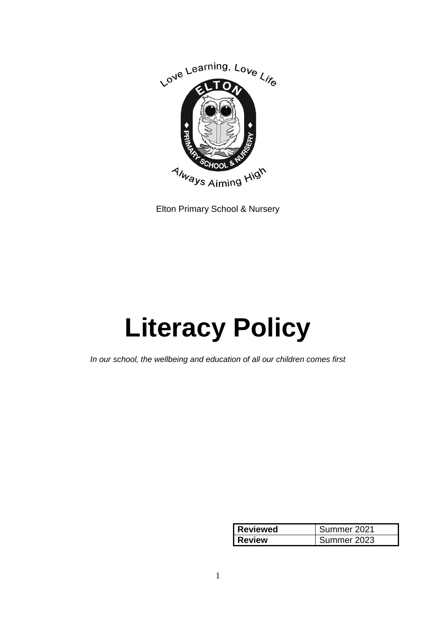

Elton Primary School & Nursery

# **Literacy Policy**

*In our school, the wellbeing and education of all our children comes first*

| <b>Reviewed</b> | Summer 2021 |
|-----------------|-------------|
| <b>Review</b>   | Summer 2023 |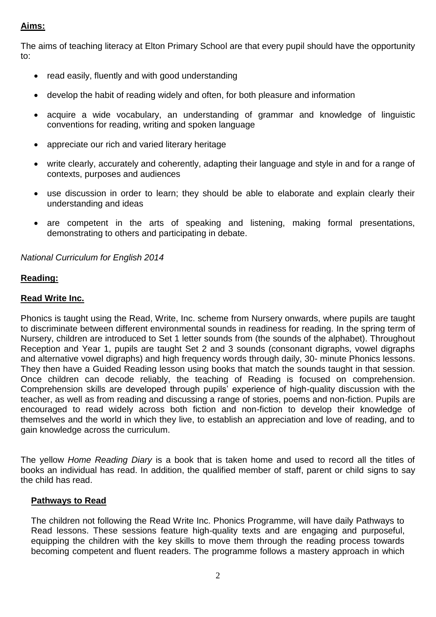# **Aims:**

The aims of teaching literacy at Elton Primary School are that every pupil should have the opportunity to:

- read easily, fluently and with good understanding
- develop the habit of reading widely and often, for both pleasure and information
- acquire a wide vocabulary, an understanding of grammar and knowledge of linguistic conventions for reading, writing and spoken language
- appreciate our rich and varied literary heritage
- write clearly, accurately and coherently, adapting their language and style in and for a range of contexts, purposes and audiences
- use discussion in order to learn; they should be able to elaborate and explain clearly their understanding and ideas
- are competent in the arts of speaking and listening, making formal presentations, demonstrating to others and participating in debate.

## *National Curriculum for English 2014*

# **Reading:**

## **Read Write Inc.**

Phonics is taught using the Read, Write, Inc. scheme from Nursery onwards, where pupils are taught to discriminate between different environmental sounds in readiness for reading. In the spring term of Nursery, children are introduced to Set 1 letter sounds from (the sounds of the alphabet). Throughout Reception and Year 1, pupils are taught Set 2 and 3 sounds (consonant digraphs, vowel digraphs and alternative vowel digraphs) and high frequency words through daily, 30- minute Phonics lessons. They then have a Guided Reading lesson using books that match the sounds taught in that session. Once children can decode reliably, the teaching of Reading is focused on comprehension. Comprehension skills are developed through pupils' experience of high-quality discussion with the teacher, as well as from reading and discussing a range of stories, poems and non-fiction. Pupils are encouraged to read widely across both fiction and non-fiction to develop their knowledge of themselves and the world in which they live, to establish an appreciation and love of reading, and to gain knowledge across the curriculum.

The yellow *Home Reading Diary* is a book that is taken home and used to record all the titles of books an individual has read. In addition, the qualified member of staff, parent or child signs to say the child has read.

#### **Pathways to Read**

The children not following the Read Write Inc. Phonics Programme, will have daily Pathways to Read lessons. These sessions feature high-quality texts and are engaging and purposeful, equipping the children with the key skills to move them through the reading process towards becoming competent and fluent readers. The programme follows a mastery approach in which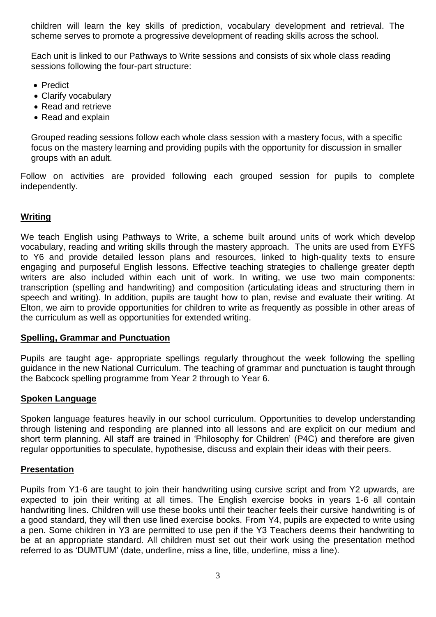children will learn the key skills of prediction, vocabulary development and retrieval. The scheme serves to promote a progressive development of reading skills across the school.

Each unit is linked to our Pathways to Write sessions and consists of six whole class reading sessions following the four-part structure:

- Predict
- Clarify vocabulary
- Read and retrieve
- Read and explain

Grouped reading sessions follow each whole class session with a mastery focus, with a specific focus on the mastery learning and providing pupils with the opportunity for discussion in smaller groups with an adult.

Follow on activities are provided following each grouped session for pupils to complete independently.

# **Writing**

We teach English using Pathways to Write, a scheme built around units of work which develop vocabulary, reading and writing skills through the mastery approach. The units are used from EYFS to Y6 and provide detailed lesson plans and resources, linked to high-quality texts to ensure engaging and purposeful English lessons. Effective teaching strategies to challenge greater depth writers are also included within each unit of work. In writing, we use two main components: transcription (spelling and handwriting) and composition (articulating ideas and structuring them in speech and writing). In addition, pupils are taught how to plan, revise and evaluate their writing. At Elton, we aim to provide opportunities for children to write as frequently as possible in other areas of the curriculum as well as opportunities for extended writing.

#### **Spelling, Grammar and Punctuation**

Pupils are taught age- appropriate spellings regularly throughout the week following the spelling guidance in the new National Curriculum. The teaching of grammar and punctuation is taught through the Babcock spelling programme from Year 2 through to Year 6.

#### **Spoken Language**

Spoken language features heavily in our school curriculum. Opportunities to develop understanding through listening and responding are planned into all lessons and are explicit on our medium and short term planning. All staff are trained in 'Philosophy for Children' (P4C) and therefore are given regular opportunities to speculate, hypothesise, discuss and explain their ideas with their peers.

#### **Presentation**

Pupils from Y1-6 are taught to join their handwriting using cursive script and from Y2 upwards, are expected to join their writing at all times. The English exercise books in years 1-6 all contain handwriting lines. Children will use these books until their teacher feels their cursive handwriting is of a good standard, they will then use lined exercise books. From Y4, pupils are expected to write using a pen. Some children in Y3 are permitted to use pen if the Y3 Teachers deems their handwriting to be at an appropriate standard. All children must set out their work using the presentation method referred to as 'DUMTUM' (date, underline, miss a line, title, underline, miss a line).